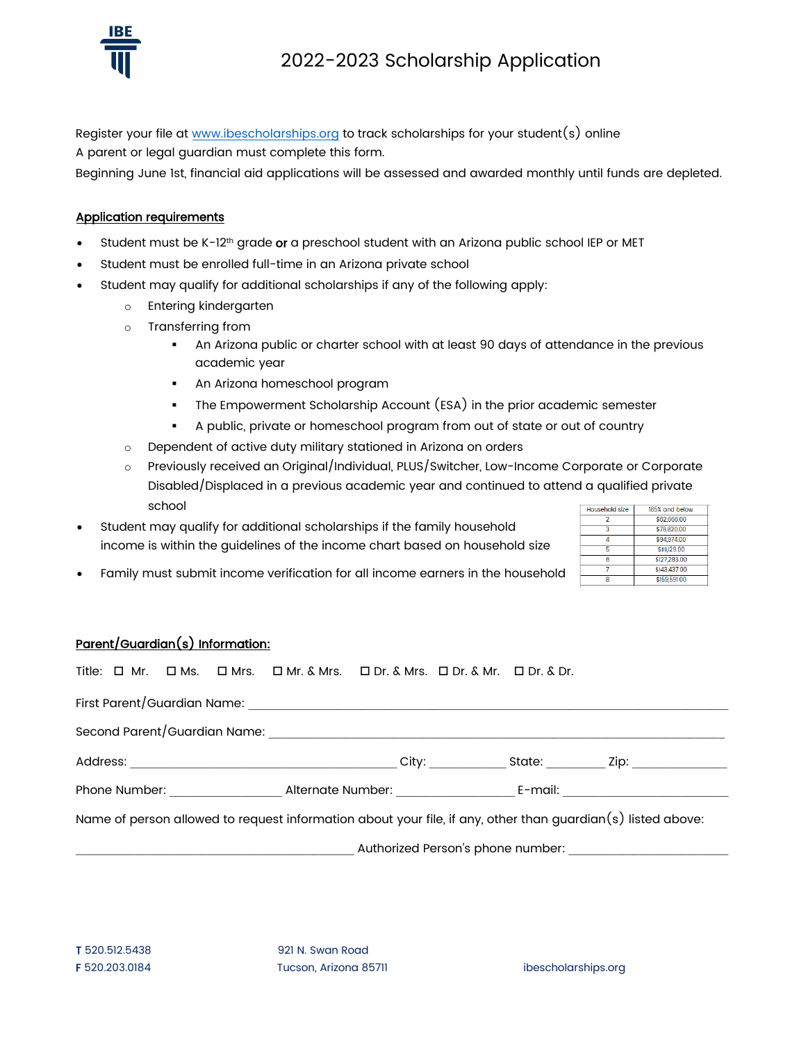

Register your file at [www.ibescholarships.org](http://www.ibescholarships.org/) to track scholarships for your student(s) online A parent or legal guardian must complete this form.

Beginning June 1st, financial aid applications will be assessed and awarded monthly until funds are depleted.

## Application requirements

- Student must be  $K-12<sup>th</sup>$  grade or a preschool student with an Arizona public school IEP or MET
- Student must be enrolled full-time in an Arizona private school
- Student may qualify for additional scholarships if any of the following apply:
	- o Entering kindergarten
	- o Transferring from
		- An Arizona public or charter school with at least 90 days of attendance in the previous academic year
		- **An Arizona homeschool program**
		- The Empowerment Scholarship Account (ESA) in the prior academic semester
		- A public, private or homeschool program from out of state or out of country
	- o Dependent of active duty military stationed in Arizona on orders
	- o Previously received an Original/Individual, PLUS/Switcher, Low-Income Corporate or Corporate Disabled/Displaced in a previous academic year and continued to attend a qualified private school 185% and below Household size
- Student may qualify for additional scholarships if the family household income is within the guidelines of the income chart based on household size
	- Family must submit income verification for all income earners in the household

#### \$62,666.00 \$78,820.00 \$94,974.00  $\overline{4}$  $$11.129.00$ 6 \$127,283.00 \$143,437.00 \$159,591.00

# Parent/Guardian(s) Information:

|                                                                                                             |  |  |  |  | Title: $\Box$ Mr. $\Box$ Ms. $\Box$ Mrs. $\Box$ Mr. & Mrs. $\Box$ Dr. & Mr. $\Box$ Dr. & Dr. & Dr. & Dr. |  |  |                                         |
|-------------------------------------------------------------------------------------------------------------|--|--|--|--|----------------------------------------------------------------------------------------------------------|--|--|-----------------------------------------|
|                                                                                                             |  |  |  |  |                                                                                                          |  |  |                                         |
|                                                                                                             |  |  |  |  |                                                                                                          |  |  |                                         |
|                                                                                                             |  |  |  |  |                                                                                                          |  |  |                                         |
|                                                                                                             |  |  |  |  |                                                                                                          |  |  | Phone Number: Alternate Number: E-mail: |
| Name of person allowed to request information about your file, if any, other than guardian(s) listed above: |  |  |  |  |                                                                                                          |  |  |                                         |
|                                                                                                             |  |  |  |  |                                                                                                          |  |  |                                         |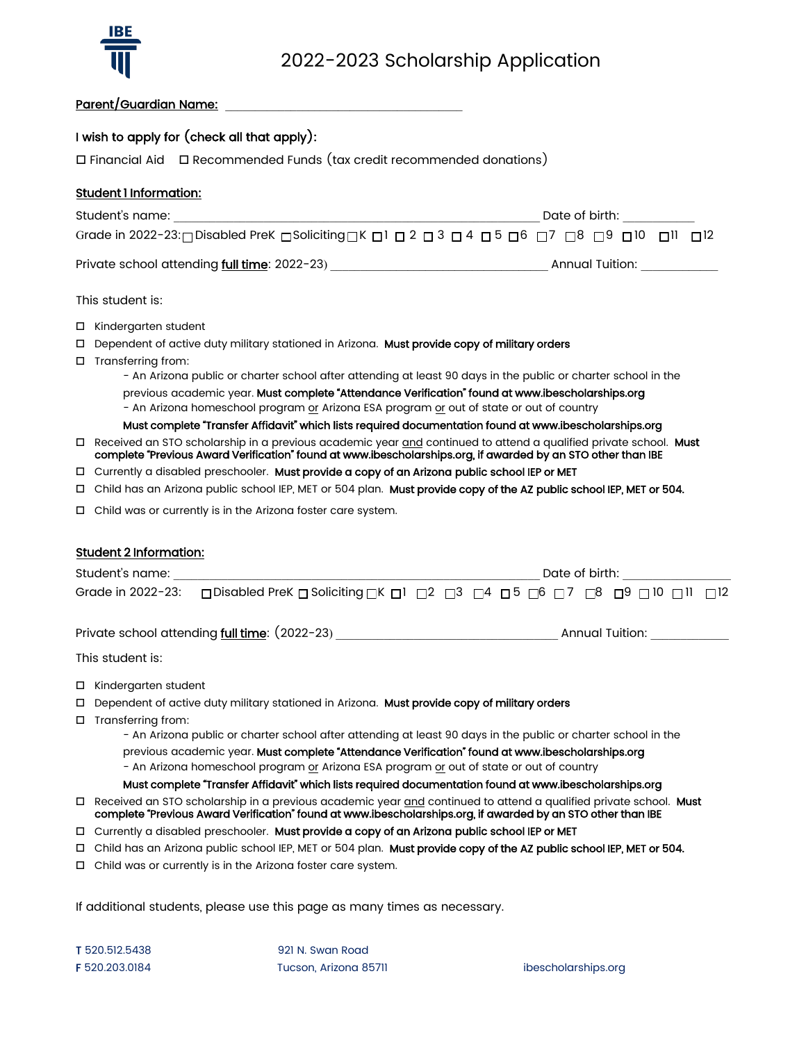

## Parent/Guardian Name:

## I wish to apply for (check all that apply):

Financial Aid Recommended Funds (tax credit recommended donations)

## Student 1 Information:

| Student's name:                                                                                    | Date of birth:  |
|----------------------------------------------------------------------------------------------------|-----------------|
| Grade in 2022-23: □ Disabled PreK □ Soliciting □ K □ 1 □ 2 □ 3 □ 4 □ 5 □ 6 □7 □8 □ 9 □ 0 □ 10 □ 12 |                 |
| Private school attending full time: 2022-23)                                                       | Annual Tuition: |

### This student is:

□ Kindergarten student

 $\Box$  Dependent of active duty military stationed in Arizona. Must provide copy of military orders

□ Transferring from:

- An Arizona public or charter school after attending at least 90 days in the public or charter school in the previous academic year. Must complete "Attendance Verification" found at www.ibescholarships.org - An Arizona homeschool program or Arizona ESA program or out of state or out of country

## Must complete "Transfer Affidavit" which lists required documentation found at www.ibescholarships.org

- Received an STO scholarship in a previous academic year and continued to attend a qualified private school. Must complete "Previous Award Verification" found at www.ibescholarships.org, if awarded by an STO other than IBE
- □ Currently a disabled preschooler. Must provide a copy of an Arizona public school IEP or MET
- Child has an Arizona public school IEP, MET or 504 plan. Must provide copy of the AZ public school IEP, MET or 504.
- $\Box$  Child was or currently is in the Arizona foster care system.

## Student 2 Information:

| Student's name: |                                                                                                                                                                                  | Date of birth: |  |  |  |  |                 |  |  |
|-----------------|----------------------------------------------------------------------------------------------------------------------------------------------------------------------------------|----------------|--|--|--|--|-----------------|--|--|
|                 | Grade in 2022-23: $\Box$ Disabled PreK $\Box$ Soliciting $\Box$ K $\Box$ 1 $\Box$ 2 $\Box$ 3 $\Box$ 4 $\Box$ 5 $\Box$ 6 $\Box$ 7 $\Box$ 8 $\Box$ 9 $\Box$ 10 $\Box$ 11 $\Box$ 12 |                |  |  |  |  |                 |  |  |
|                 | Private school attending full time: (2022-23)                                                                                                                                    |                |  |  |  |  | Annual Tuition: |  |  |

This student is:

- □ Kindergarten student
- D Dependent of active duty military stationed in Arizona. Must provide copy of military orders
- □ Transferring from:
	- An Arizona public or charter school after attending at least 90 days in the public or charter school in the previous academic year. Must complete "Attendance Verification" found at www.ibescholarships.org - An Arizona homeschool program or Arizona ESA program or out of state or out of country

#### Must complete "Transfer Affidavit" which lists required documentation found at www.ibescholarships.org

- Received an STO scholarship in a previous academic year and continued to attend a qualified private school. Must complete "Previous Award Verification" found at www.ibescholarships.org, if awarded by an STO other than IBE
- □ Currently a disabled preschooler. Must provide a copy of an Arizona public school IEP or MET
- Child has an Arizona public school IEP, MET or 504 plan. Must provide copy of the AZ public school IEP, MET or 504.
- $\Box$  Child was or currently is in the Arizona foster care system.

If additional students, please use this page as many times as necessary.

T 520.512.5438 921 N. Swan Road F 520.203.0184 Tucson, Arizona 85711 ibescholarships.org